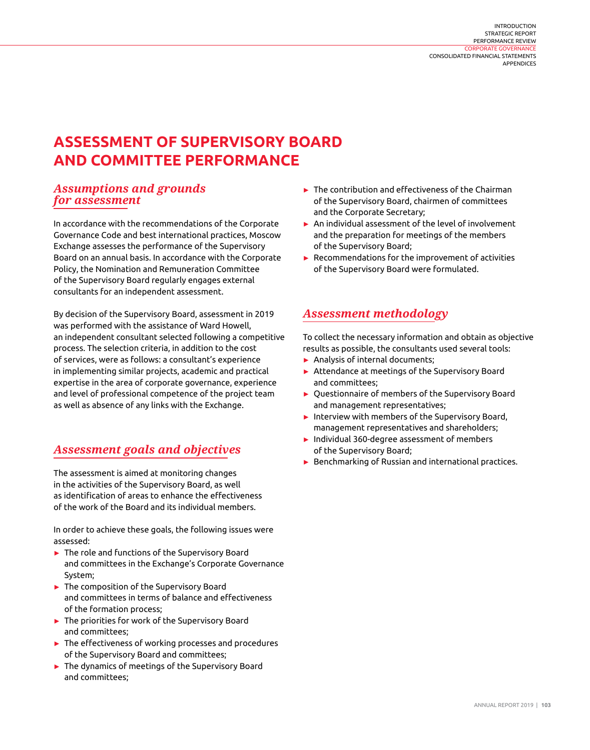#### [INTRODUCTION](#page--1-0) [STRATEGIC REPORT](#page--1-0) [PERFORMANCE REVIEW](#page--1-0) [CORPORATE GOVERNANCE](#page--1-0) [CONSOLIDATED FINANCIAL STATEMENTS](#page--1-0) **[APPENDICES](#page--1-0)**

# **ASSESSMENT OF SUPERVISORY BOARD AND COMMITTEE PERFORMANCE**

### *Assumptions and grounds for assessment*

In accordance with the recommendations of the Corporate Governance Code and best international practices, Moscow Exchange assesses the performance of the Supervisory Board on an annual basis. In accordance with the Corporate Policy, the Nomination and Remuneration Committee of the Supervisory Board regularly engages external consultants for an independent assessment.

By decision of the Supervisory Board, assessment in 2019 was performed with the assistance of Ward Howell, an independent consultant selected following a competitive process. The selection criteria, in addition to the cost of services, were as follows: a consultant's experience in implementing similar projects, academic and practical expertise in the area of corporate governance, experience and level of professional competence of the project team as well as absence of any links with the Exchange.

# *Assessment goals and objectives*

The assessment is aimed at monitoring changes in the activities of the Supervisory Board, as well as identification of areas to enhance the effectiveness of the work of the Board and its individual members.

In order to achieve these goals, the following issues were assessed:

- ► The role and functions of the Supervisory Board and committees in the Exchange's Corporate Governance System;
- ► The composition of the Supervisory Board and committees in terms of balance and effectiveness of the formation process;
- ► The priorities for work of the Supervisory Board and committees;
- ► The effectiveness of working processes and procedures of the Supervisory Board and committees;
- ► The dynamics of meetings of the Supervisory Board and committees;
- ► The contribution and effectiveness of the Chairman of the Supervisory Board, chairmen of committees and the Corporate Secretary;
- ► An individual assessment of the level of involvement and the preparation for meetings of the members of the Supervisory Board;
- ► Recommendations for the improvement of activities of the Supervisory Board were formulated.

# *Assessment methodology*

To collect the necessary information and obtain as objective results as possible, the consultants used several tools:

- ► Analysis of internal documents;
- ► Attendance at meetings of the Supervisory Board and committees;
- ► Questionnaire of members of the Supervisory Board and management representatives;
- ► Interview with members of the Supervisory Board, management representatives and shareholders;
- ► Individual 360-degree assessment of members of the Supervisory Board;
- ► Benchmarking of Russian and international practices.